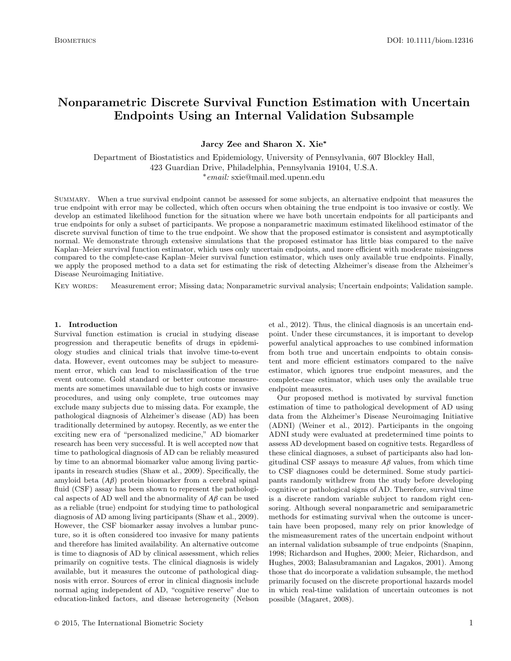# **Nonparametric Discrete Survival Function Estimation with Uncertain Endpoints Using an Internal Validation Subsample**

**Jarcy Zee and Sharon X. Xie\***

Department of Biostatistics and Epidemiology, University of Pennsylvania, 607 Blockley Hall, 423 Guardian Drive, Philadelphia, Pennsylvania 19104, U.S.A. <sup>∗</sup>email: sxie@mail.med.upenn.edu

Summary. When a true survival endpoint cannot be assessed for some subjects, an alternative endpoint that measures the true endpoint with error may be collected, which often occurs when obtaining the true endpoint is too invasive or costly. We develop an estimated likelihood function for the situation where we have both uncertain endpoints for all participants and true endpoints for only a subset of participants. We propose a nonparametric maximum estimated likelihood estimator of the discrete survival function of time to the true endpoint. We show that the proposed estimator is consistent and asymptotically normal. We demonstrate through extensive simulations that the proposed estimator has little bias compared to the naïve Kaplan–Meier survival function estimator, which uses only uncertain endpoints, and more efficient with moderate missingness compared to the complete-case Kaplan–Meier survival function estimator, which uses only available true endpoints. Finally, we apply the proposed method to a data set for estimating the risk of detecting Alzheimer's disease from the Alzheimer's Disease Neuroimaging Initiative.

Key words: Measurement error; Missing data; Nonparametric survival analysis; Uncertain endpoints; Validation sample.

## **1. Introduction**

Survival function estimation is crucial in studying disease progression and therapeutic benefits of drugs in epidemiology studies and clinical trials that involve time-to-event data. However, event outcomes may be subject to measurement error, which can lead to misclassification of the true event outcome. Gold standard or better outcome measurements are sometimes unavailable due to high costs or invasive procedures, and using only complete, true outcomes may exclude many subjects due to missing data. For example, the pathological diagnosis of Alzheimer's disease (AD) has been traditionally determined by autopsy. Recently, as we enter the exciting new era of "personalized medicine," AD biomarker research has been very successful. It is well accepted now that time to pathological diagnosis of AD can be reliably measured by time to an abnormal biomarker value among living participants in research studies [\(Shaw et al., 2009\). S](#page-9-0)pecifically, the amyloid beta (*Aβ*) protein biomarker from a cerebral spinal fluid (CSF) assay has been shown to represent the pathological aspects of AD well and the abnormality of *Aβ* can be used as a reliable (true) endpoint for studying time to pathological diagnosis of AD among living participants [\(Shaw et al., 2009\).](#page-9-0) However, the CSF biomarker assay involves a lumbar puncture, so it is often considered too invasive for many patients and therefore has limited availability. An alternative outcome is time to diagnosis of AD by clinical assessment, which relies primarily on cognitive tests. The clinical diagnosis is widely available, but it measures the outcome of pathological diagnosis with error. Sources of error in clinical diagnosis include normal aging independent of AD, "cognitive reserve" due to education-linked factors, and disease heterogeneity [\(Nelson](#page-9-0)

et al.[, 2012\).](#page-9-0) Thus, the clinical diagnosis is an uncertain endpoint. Under these circumstances, it is important to develop powerful analytical approaches to use combined information from both true and uncertain endpoints to obtain consistent and more efficient estimators compared to the naïve estimator, which ignores true endpoint measures, and the complete-case estimator, which uses only the available true endpoint measures.

Our proposed method is motivated by survival function estimation of time to pathological development of AD using data from the Alzheimer's Disease Neuroimaging Initiative (ADNI) [\(Weiner et al., 2012\).](#page-9-0) Participants in the ongoing ADNI study were evaluated at predetermined time points to assess AD development based on cognitive tests. Regardless of these clinical diagnoses, a subset of participants also had longitudinal CSF assays to measure  $A\beta$  values, from which time to CSF diagnoses could be determined. Some study participants randomly withdrew from the study before developing cognitive or pathological signs of AD. Therefore, survival time is a discrete random variable subject to random right censoring. Although several nonparametric and semiparametric methods for estimating survival when the outcome is uncertain have been proposed, many rely on prior knowledge of the mismeasurement rates of the uncertain endpoint without an internal validation subsample of true endpoints ([Snapinn,](#page-9-0) 1998; Richardson and Hughes, 2000; Meier, Richardson, and Hughes, 2003; Balasubramanian and Lagakos, 2001). Among those that do incorporate a validation subsample, the method primarily focused on the discrete proportional hazards model in which real-time validation of uncertain outcomes is not possible [\(Magaret, 2008\).](#page-9-0)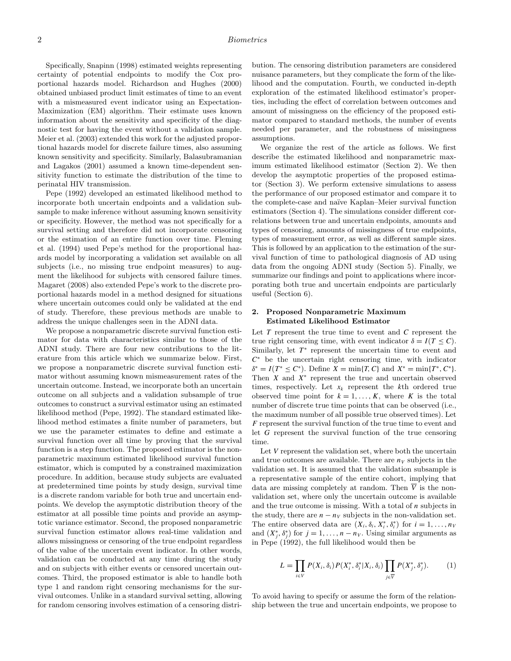Specifically, Snapinn [\(1998\) e](#page-9-0)stimated weights representing certainty of potential endpoints to modify the Cox proportional hazards model. Richardson and Hughes [\(2000\)](#page-9-0) obtained unbiased product limit estimates of time to an event with a mismeasured event indicator using an Expectation-Maximization (EM) algorithm. Their estimate uses known information about the sensitivity and specificity of the diagnostic test for having the event without a validation sample. [Meier et al. \(2003\) ex](#page-9-0)tended this work for the adjusted proportional hazards model for discrete failure times, also assuming known sensitivity and specificity. Similarly, Balasubramanian and Lagakos [\(2001\) a](#page-9-0)ssumed a known time-dependent sensitivity function to estimate the distribution of the time to perinatal HIV transmission.

Pepe [\(1992\) d](#page-9-0)eveloped an estimated likelihood method to incorporate both uncertain endpoints and a validation subsample to make inference without assuming known sensitivity or specificity. However, the method was not specifically for a survival setting and therefore did not incorporate censoring or the estimation of an entire function over time. [Fleming](#page-9-0) et al. [\(1994\) u](#page-9-0)sed Pepe's method for the proportional hazards model by incorporating a validation set available on all subjects (i.e., no missing true endpoint measures) to augment the likelihood for subjects with censored failure times. Magaret [\(2008\) a](#page-9-0)lso extended Pepe's work to the discrete proportional hazards model in a method designed for situations where uncertain outcomes could only be validated at the end of study. Therefore, these previous methods are unable to address the unique challenges seen in the ADNI data.

We propose a nonparametric discrete survival function estimator for data with characteristics similar to those of the ADNI study. There are four new contributions to the literature from this article which we summarize below. First, we propose a nonparametric discrete survival function estimator without assuming known mismeasurement rates of the uncertain outcome. Instead, we incorporate both an uncertain outcome on all subjects and a validation subsample of true outcomes to construct a survival estimator using an estimated likelihood method [\(Pepe, 1992\).](#page-9-0) The standard estimated likelihood method estimates a finite number of parameters, but we use the parameter estimates to define and estimate a survival function over all time by proving that the survival function is a step function. The proposed estimator is the nonparametric maximum estimated likelihood survival function estimator, which is computed by a constrained maximization procedure. In addition, because study subjects are evaluated at predetermined time points by study design, survival time is a discrete random variable for both true and uncertain endpoints. We develop the asymptotic distribution theory of the estimator at all possible time points and provide an asymptotic variance estimator. Second, the proposed nonparametric survival function estimator allows real-time validation and allows missingness or censoring of the true endpoint regardless of the value of the uncertain event indicator. In other words, validation can be conducted at any time during the study and on subjects with either events or censored uncertain outcomes. Third, the proposed estimator is able to handle both type 1 and random right censoring mechanisms for the survival outcomes. Unlike in a standard survival setting, allowing for random censoring involves estimation of a censoring distribution. The censoring distribution parameters are considered nuisance parameters, but they complicate the form of the likelihood and the computation. Fourth, we conducted in-depth exploration of the estimated likelihood estimator's properties, including the effect of correlation between outcomes and amount of missingness on the efficiency of the proposed estimator compared to standard methods, the number of events needed per parameter, and the robustness of missingness assumptions.

We organize the rest of the article as follows. We first describe the estimated likelihood and nonparametric maximum estimated likelihood estimator (Section 2). We then develop the asymptotic properties of the proposed estimator (Section 3). We perform extensive simulations to assess the performance of our proposed estimator and compare it to the complete-case and na¨ıve Kaplan–Meier survival function estimators (Section 4). The simulations consider different correlations between true and uncertain endpoints, amounts and types of censoring, amounts of missingness of true endpoints, types of measurement error, as well as different sample sizes. This is followed by an application to the estimation of the survival function of time to pathological diagnosis of AD using data from the ongoing ADNI study (Section 5). Finally, we summarize our findings and point to applications where incorporating both true and uncertain endpoints are particularly useful (Section 6).

## **2. Proposed Nonparametric Maximum Estimated Likelihood Estimator**

Let *T* represent the true time to event and *C* represent the true right censoring time, with event indicator  $\delta = I(T \leq C)$ . Similarly, let  $T^*$  represent the uncertain time to event and *C*<sup>∗</sup> be the uncertain right censoring time, with indicator  $\delta^* = I(T^* \leq C^*)$ . Define  $X = \min\{T, C\}$  and  $X^* = \min\{T^*, C^*\}$ . Then *X* and *X*<sup>∗</sup> represent the true and uncertain observed times, respectively. Let  $x_k$  represent the  $k$ <sup>th</sup> ordered true observed time point for  $k = 1, \ldots, K$ , where K is the total number of discrete true time points that can be observed (i.e., the maximum number of all possible true observed times). Let *F* represent the survival function of the true time to event and let *G* represent the survival function of the true censoring time.

Let *V* represent the validation set, where both the uncertain and true outcomes are available. There are  $n<sub>V</sub>$  subjects in the validation set. It is assumed that the validation subsample is a representative sample of the entire cohort, implying that data are missing completely at random. Then  $\overline{V}$  is the nonvalidation set, where only the uncertain outcome is available and the true outcome is missing. With a total of *n* subjects in the study, there are  $n - n_V$  subjects in the non-validation set. The entire observed data are  $(X_i, \delta_i, X_i^*, \delta_i^*)$  for  $i = 1, \ldots, n_V$ and  $(X_j^*, \delta_j^*)$  for  $j = 1, \ldots, n - n_V$ . Using similar arguments as in Pepe [\(1992\),](#page-9-0) the full likelihood would then be

$$
L = \prod_{i \in V} P(X_i, \delta_i) P(X_i^*, \delta_i^* | X_i, \delta_i) \prod_{j \in \overline{V}} P(X_j^*, \delta_j^*).
$$
 (1)

To avoid having to specify or assume the form of the relationship between the true and uncertain endpoints, we propose to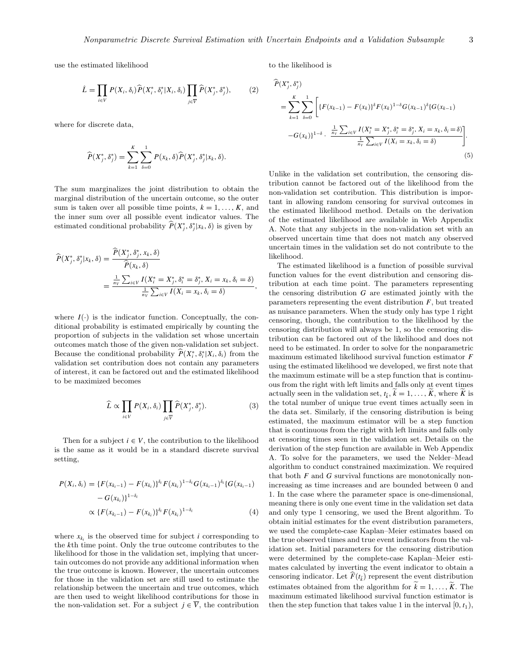use the estimated likelihood

$$
\hat{L} = \prod_{i \in V} P(X_i, \delta_i) \hat{P}(X_i^*, \delta_i^* | X_i, \delta_i) \prod_{j \in \overline{V}} \hat{P}(X_j^*, \delta_j^*), \tag{2}
$$

where for discrete data,

$$
\widehat{P}(X_j^*, \delta_j^*) = \sum_{k=1}^K \sum_{\delta=0}^1 P(x_k, \delta) \widehat{P}(X_j^*, \delta_j^* | x_k, \delta).
$$

The sum marginalizes the joint distribution to obtain the marginal distribution of the uncertain outcome, so the outer sum is taken over all possible time points,  $k = 1, \ldots, K$ , and the inner sum over all possible event indicator values. The estimated conditional probability  $\hat{P}(X^*_{j}, \delta^*_{j}|X_k, \delta)$  is given by

$$
\begin{split} \widehat{P}(X_j^*, \delta_j^* | x_k, \delta) &= \frac{\widehat{P}(X_j^*, \delta_j^*, x_k, \delta)}{\widehat{P}(x_k, \delta)} \\ &= \frac{\frac{1}{n_V} \sum_{i \in V} I(X_i^* = X_j^*, \delta_i^* = \delta_j^*, X_i = x_k, \delta_i = \delta)}{\frac{1}{n_V} \sum_{i \in V} I(X_i = x_k, \delta_i = \delta)}, \end{split}
$$

where  $I(\cdot)$  is the indicator function. Conceptually, the conditional probability is estimated empirically by counting the proportion of subjects in the validation set whose uncertain outcomes match those of the given non-validation set subject. Because the conditional probability  $\hat{P}(X_i^*, \delta_i^* | X_i, \delta_i)$  from the validation set contribution does not contain any parameters validation set contribution does not contain any parameters of interest, it can be factored out and the estimated likelihood to be maximized becomes

$$
\widehat{L} \propto \prod_{i \in V} P(X_i, \delta_i) \prod_{j \in \overline{V}} \widehat{P}(X_j^*, \delta_j^*).
$$
 (3)

Then for a subject  $i \in V$ , the contribution to the likelihood is the same as it would be in a standard discrete survival setting,

$$
P(X_i, \delta_i) = \{F(x_{k_i-1}) - F(x_{k_i})\}^{\delta_i} F(x_{k_i})^{1-\delta_i} G(x_{k_i-1})^{\delta_i} \{G(x_{k_i-1}) - G(x_{k_i})\}^{1-\delta_i}
$$
  
 
$$
\propto \{F(x_{k_i-1}) - F(x_{k_i})\}^{\delta_i} F(x_{k_i})^{1-\delta_i}
$$
 (4)

where  $x_{k_i}$  is the observed time for subject *i* corresponding to the *k*th time point. Only the true outcome contributes to the likelihood for those in the validation set, implying that uncertain outcomes do not provide any additional information when the true outcome is known. However, the uncertain outcomes for those in the validation set are still used to estimate the relationship between the uncertain and true outcomes, which are then used to weight likelihood contributions for those in the non-validation set. For a subject  $j \in \overline{V}$ , the contribution to the likelihood is

$$
\widehat{P}(X_j^*, \delta_j^*)
$$
\n
$$
= \sum_{k=1}^K \sum_{\delta=0}^1 \left[ \{ F(x_{k-1}) - F(x_k) \}^\delta F(x_k)^{1-\delta} G(x_{k-1})^\delta \{ G(x_{k-1}) -G(x_k) \}^{1-\delta} \cdot \frac{\frac{1}{n_V} \sum_{i \in V} I(X_i^* = X_j^*, \delta_i^* = \delta_j^*, X_i = x_k, \delta_i = \delta)}{\frac{1}{n_V} \sum_{i \in V} I(X_i = x_k, \delta_i = \delta)} \right].
$$
\n(5)

Unlike in the validation set contribution, the censoring distribution cannot be factored out of the likelihood from the non-validation set contribution. This distribution is important in allowing random censoring for survival outcomes in the estimated likelihood method. Details on the derivation of the estimated likelihood are available in Web Appendix A. Note that any subjects in the non-validation set with an observed uncertain time that does not match any observed uncertain times in the validation set do not contribute to the likelihood.

The estimated likelihood is a function of possible survival function values for the event distribution and censoring distribution at each time point. The parameters representing the censoring distribution *G* are estimated jointly with the parameters representing the event distribution *F*, but treated as nuisance parameters. When the study only has type 1 right censoring, though, the contribution to the likelihood by the censoring distribution will always be 1, so the censoring distribution can be factored out of the likelihood and does not need to be estimated. In order to solve for the nonparametric maximum estimated likelihood survival function estimator *F* using the estimated likelihood we developed, we first note that the maximum estimate will be a step function that is continuous from the right with left limits and falls only at event times actually seen in the validation set,  $t_{\tilde{k}}$ ,  $\tilde{k} = 1, \ldots, K$ , where *K* is the total number of unique true event times actually seen in the data set. Similarly, if the censoring distribution is being estimated, the maximum estimator will be a step function that is continuous from the right with left limits and falls only at censoring times seen in the validation set. Details on the derivation of the step function are available in Web Appendix A. To solve for the parameters, we used the Nelder–Mead algorithm to conduct constrained maximization. We required that both *F* and *G* survival functions are monotonically nonincreasing as time increases and are bounded between 0 and 1. In the case where the parameter space is one-dimensional, meaning there is only one event time in the validation set data and only type 1 censoring, we used the Brent algorithm. To obtain initial estimates for the event distribution parameters, we used the complete-case Kaplan–Meier estimates based on the true observed times and true event indicators from the validation set. Initial parameters for the censoring distribution were determined by the complete-case Kaplan–Meier estimates calculated by inverting the event indicator to obtain a censoring indicator. Let  $F(t_{\tilde{k}})$  represent the event distribution estimates obtained from the algorithm for  $\widetilde{k} = 1, \ldots, \widetilde{K}$ . The maximum estimated likelihood survival function estimator is then the step function that takes value 1 in the interval  $[0, t_1)$ ,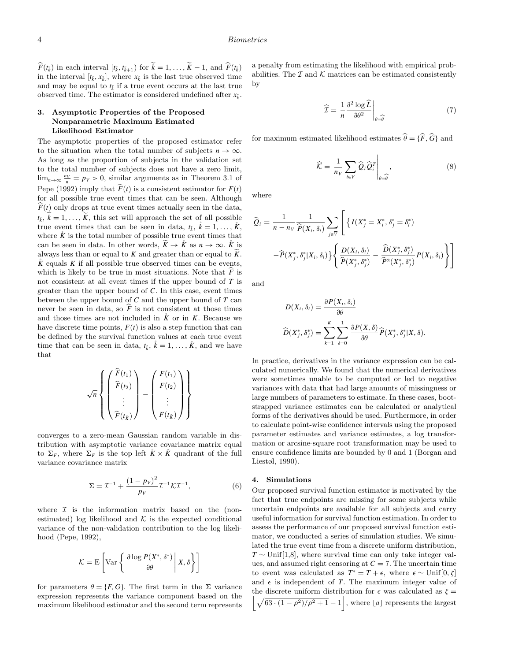*F*( $t_{\bar{k}}$ ) in each interval [ $t_{\bar{k}}$ ,  $t_{\bar{k}+1}$ ) for  $\widetilde{k} = 1, \ldots, \widetilde{K} - 1$ , and  $\widehat{F}(t_{\bar{k}})$ in the interval  $[t_{\tilde{k}}, x_{\tilde{k}}]$ , where  $x_{\tilde{k}}$  is the last true observed time and may be equal to  $t_{\tilde{k}}$  if a true event occurs at the last true observed time. The estimator is considered undefined after  $x_{\tilde{k}}$ .

# **3. Asymptotic Properties of the Proposed Nonparametric Maximum Estimated Likelihood Estimator**

The asymptotic properties of the proposed estimator refer to the situation when the total number of subjects  $n \to \infty$ . As long as the proportion of subjects in the validation set to the total number of subjects does not have a zero limit,  $\lim_{n\to\infty}\frac{ny}{n}=p_v>0$ , similar arguments as in Theorem 3.1 of Pepe [\(1992\) i](#page-9-0)mply that  $\hat{F}(t)$  is a consistent estimator for  $F(t)$ for all possible true event times that can be seen. Although  $F(t)$  only drops at true event times actually seen in the data,  $t_{\tilde{k}}$ ,  $k = 1, \ldots, \tilde{K}$ , this set will approach the set of all possible true event times that can be seen in data,  $t_i$ ,  $k = 1, \ldots, K$ , where  $\tilde{K}$  is the total number of possible true event times that can be seen in data. In other words,  $K \to K$  as  $n \to \infty$ .  $\tilde{K}$  is always less than or equal to  $K$  and greater than or equal to  $\widetilde{K}$ .  $\ddot{K}$  equals  $K$  if all possible true observed times can be events, which is likely to be true in most situations. Note that  $\ddot{F}$  is not consistent at all event times if the upper bound of *T* is greater than the upper bound of *C*. In this case, event times between the upper bound of *C* and the upper bound of *T* can never be seen in data, so  $\widehat{F}$  is not consistent at those times and those times are not included in  $\mathring{K}$  or in  $K$ . Because we have discrete time points,  $F(t)$  is also a step function that can be defined by the survival function values at each true event time that can be seen in data,  $t_{\tilde{k}}$ ,  $\tilde{k} = 1, \ldots, \tilde{K}$ , and we have that

$$
\sqrt{n}\left\{\left(\begin{matrix}\widehat{F}(t_1) \\ \widehat{F}(t_2) \\ \vdots \\ \widehat{F}(t_k)\end{matrix}\right) - \left(\begin{matrix}F(t_1) \\ F(t_2) \\ \vdots \\ F(t_k)\end{matrix}\right)\right\}
$$

converges to a zero-mean Gaussian random variable in distribution with asymptotic variance covariance matrix equal to  $\Sigma_F$ , where  $\Sigma_F$  is the top left  $\ddot{K} \times \ddot{K}$  quadrant of the full variance covariance matrix

$$
\Sigma = \mathcal{I}^{-1} + \frac{(1 - p_V)^2}{p_V} \mathcal{I}^{-1} \mathcal{K} \mathcal{I}^{-1},\tag{6}
$$

where  $I$  is the information matrix based on the (nonestimated) log likelihood and  $K$  is the expected conditional variance of the non-validation contribution to the log likelihood [\(Pepe, 1992\),](#page-9-0)

$$
\mathcal{K} = \mathrm{E}\left[\mathrm{Var}\left\{\left.\frac{\partial \log P(X^*, \delta^*)}{\partial \theta}\right| X, \delta\right\}\right]
$$

for parameters  $\theta = \{F, G\}$ . The first term in the  $\Sigma$  variance expression represents the variance component based on the maximum likelihood estimator and the second term represents a penalty from estimating the likelihood with empirical probabilities. The  $\mathcal I$  and  $\mathcal K$  matrices can be estimated consistently by

$$
\widehat{\mathcal{I}} = \frac{1}{n} \frac{\partial^2 \log \widehat{L}}{\partial \theta^2} \bigg|_{\theta = \widehat{\theta}}
$$
\n(7)

for maximum estimated likelihood estimates  $\hat{\theta} = {\hat{F}, \hat{G}}$  and

$$
\widehat{\mathcal{K}} = \frac{1}{n_V} \sum_{i \in V} \widehat{Q}_i \widehat{Q}_i^T \Big|_{\theta = \widehat{\theta}}, \tag{8}
$$

where

$$
\widehat{Q}_i = \frac{1}{n - n_V} \frac{1}{\widehat{P}(X_i, \delta_i)} \sum_{j \in \overline{V}} \left[ \left\{ I(X_j^* = X_i^*, \delta_j^* = \delta_i^*) \right.\right.
$$

$$
- \widehat{P}(X_j^*, \delta_j^* | X_i, \delta_i) \left\{ \frac{D(X_i, \delta_i)}{\widehat{P}(X_j^*, \delta_j^*)} - \frac{\widehat{D}(X_j^*, \delta_j^*)}{\widehat{P}^2(X_j^*, \delta_j^*)} P(X_i, \delta_i) \right\} \right]
$$

and

$$
D(X_i, \delta_i) = \frac{\partial P(X_i, \delta_i)}{\partial \theta}
$$

$$
\widehat{D}(X_j^*, \delta_j^*) = \sum_{k=1}^K \sum_{\delta=0}^1 \frac{\partial P(X, \delta)}{\partial \theta} \widehat{P}(X_j^*, \delta_j^* | X, \delta).
$$

In practice, derivatives in the variance expression can be calculated numerically. We found that the numerical derivatives were sometimes unable to be computed or led to negative variances with data that had large amounts of missingness or large numbers of parameters to estimate. In these cases, bootstrapped variance estimates can be calculated or analytical forms of the derivatives should be used. Furthermore, in order to calculate point-wise confidence intervals using the proposed parameter estimates and variance estimates, a log transformation or arcsine-square root transformation may be used to ensure confidence limits are bounded by 0 and 1 [\(Borgan and](#page-9-0) Liestøl[, 1990\).](#page-9-0)

#### **4. Simulations**

Our proposed survival function estimator is motivated by the fact that true endpoints are missing for some subjects while uncertain endpoints are available for all subjects and carry useful information for survival function estimation. In order to assess the performance of our proposed survival function estimator, we conducted a series of simulation studies. We simulated the true event time from a discrete uniform distribution,  $T \sim$  Unif<sup>[1,8]</sup>, where survival time can only take integer values, and assumed right censoring at  $C = 7$ . The uncertain time to event was calculated as  $T^* = T + \epsilon$ , where  $\epsilon \sim \text{Unif}[0, \zeta]$ and  $\epsilon$  is independent of *T*. The maximum integer value of  $\left[\sqrt{\frac{63 \cdot (1-\rho^2)}{\rho^2+1}}-1\right]$ , where [*a*] represents the largest the discrete uniform distribution for  $\epsilon$  was calculated as  $\zeta$  =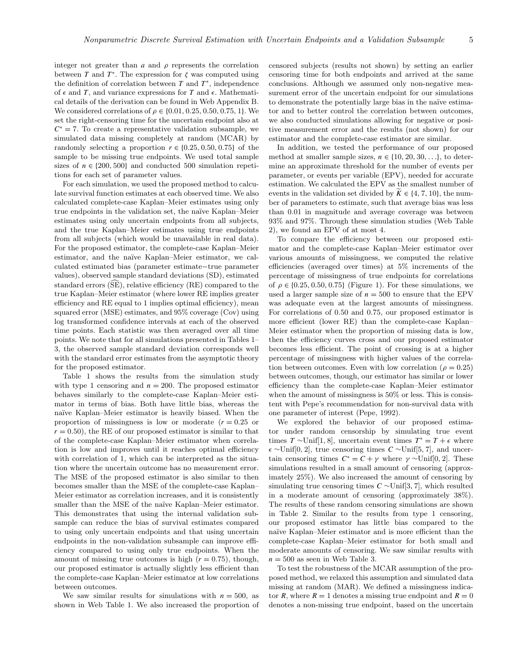integer not greater than  $a$  and  $\rho$  represents the correlation between *T* and  $T^*$ . The expression for  $\zeta$  was computed using the definition of correlation between  $T$  and  $T^*$ , independence of  $\epsilon$  and *T*, and variance expressions for *T* and  $\epsilon$ . Mathematical details of the derivation can be found in Web Appendix B. We considered correlations of *ρ* ∈ {0*.*01*,* 0*.*25*,* 0*.*50*,* 0*.*75*,* 1}. We set the right-censoring time for the uncertain endpoint also at  $C^* = 7$ . To create a representative validation subsample, we simulated data missing completely at random (MCAR) by randomly selecting a proportion  $r \in \{0.25, 0.50, 0.75\}$  of the sample to be missing true endpoints. We used total sample sizes of  $n \in \{200, 500\}$  and conducted 500 simulation repetitions for each set of parameter values.

For each simulation, we used the proposed method to calculate survival function estimates at each observed time. We also calculated complete-case Kaplan–Meier estimates using only true endpoints in the validation set, the naïve Kaplan–Meier estimates using only uncertain endpoints from all subjects, and the true Kaplan–Meier estimates using true endpoints from all subjects (which would be unavailable in real data). For the proposed estimator, the complete-case Kaplan–Meier estimator, and the na¨ıve Kaplan–Meier estimator, we calculated estimated bias (parameter estimate−true parameter values), observed sample standard deviations (SD), estimated standard errors  $(\widehat{SE})$ , relative efficiency  $(RE)$  compared to the true Kaplan–Meier estimator (where lower RE implies greater efficiency and RE equal to 1 implies optimal efficiency), mean squared error (MSE) estimates, and 95% coverage (Cov) using log transformed confidence intervals at each of the observed time points. Each statistic was then averaged over all time points. We note that for all simulations presented in Tables 1– 3, the observed sample standard deviation corresponds well with the standard error estimates from the asymptotic theory for the proposed estimator.

Table 1 shows the results from the simulation study with type 1 censoring and  $n = 200$ . The proposed estimator behaves similarly to the complete-case Kaplan–Meier estimator in terms of bias. Both have little bias, whereas the na¨ıve Kaplan–Meier estimator is heavily biased. When the proportion of missingness is low or moderate  $(r = 0.25$  or  $r = 0.50$ , the RE of our proposed estimator is similar to that of the complete-case Kaplan–Meier estimator when correlation is low and improves until it reaches optimal efficiency with correlation of 1, which can be interpreted as the situation where the uncertain outcome has no measurement error. The MSE of the proposed estimator is also similar to then becomes smaller than the MSE of the complete-case Kaplan– Meier estimator as correlation increases, and it is consistently smaller than the MSE of the naïve Kaplan–Meier estimator. This demonstrates that using the internal validation subsample can reduce the bias of survival estimates compared to using only uncertain endpoints and that using uncertain endpoints in the non-validation subsample can improve efficiency compared to using only true endpoints. When the amount of missing true outcomes is high  $(r = 0.75)$ , though, our proposed estimator is actually slightly less efficient than the complete-case Kaplan–Meier estimator at low correlations between outcomes.

We saw similar results for simulations with  $n = 500$ , as shown in Web Table 1. We also increased the proportion of censored subjects (results not shown) by setting an earlier censoring time for both endpoints and arrived at the same conclusions. Although we assumed only non-negative measurement error of the uncertain endpoint for our simulations to demonstrate the potentially large bias in the naïve estimator and to better control the correlation between outcomes, we also conducted simulations allowing for negative or positive measurement error and the results (not shown) for our estimator and the complete-case estimator are similar.

In addition, we tested the performance of our proposed method at smaller sample sizes,  $n \in \{10, 20, 30, \ldots\}$ , to determine an approximate threshold for the number of events per parameter, or events per variable (EPV), needed for accurate estimation. We calculated the EPV as the smallest number of events in the validation set divided by  $K \in \{4, 7, 10\}$ , the number of parameters to estimate, such that average bias was less than 0.01 in magnitude and average coverage was between 93% and 97%. Through these simulation studies (Web Table 2), we found an EPV of at most 4.

To compare the efficiency between our proposed estimator and the complete-case Kaplan–Meier estimator over various amounts of missingness, we computed the relative efficiencies (averaged over times) at 5% increments of the percentage of missingness of true endpoints for correlations of  $\rho \in \{0.25, 0.50, 0.75\}$  (Figure 1). For these simulations, we used a larger sample size of  $n = 500$  to ensure that the EPV was adequate even at the largest amounts of missingness. For correlations of 0.50 and 0.75, our proposed estimator is more efficient (lower RE) than the complete-case Kaplan– Meier estimator when the proportion of missing data is low, then the efficiency curves cross and our proposed estimator becomes less efficient. The point of crossing is at a higher percentage of missingness with higher values of the correlation between outcomes. Even with low correlation ( $\rho = 0.25$ ) between outcomes, though, our estimator has similar or lower efficiency than the complete-case Kaplan–Meier estimator when the amount of missingness is  $50\%$  or less. This is consistent with Pepe's recommendation for non-survival data with one parameter of interest [\(Pepe, 1992\).](#page-9-0)

We explored the behavior of our proposed estimator under random censorship by simulating true event times  $T \sim \text{Unif}[1, 8]$ , uncertain event times  $T^* = T + \epsilon$  where ∼Unif[0*,* 2], true censoring times *C* ∼Unif[5*,* 7], and uncertain censoring times  $C^* = C + \gamma$  where  $\gamma \sim \text{Unif}[0, 2]$ . These simulations resulted in a small amount of censoring (approximately 25%). We also increased the amount of censoring by simulating true censoring times *C* ∼Unif[3*,* 7], which resulted in a moderate amount of censoring (approximately 38%). The results of these random censoring simulations are shown in Table 2. Similar to the results from type 1 censoring, our proposed estimator has little bias compared to the na¨ıve Kaplan–Meier estimator and is more efficient than the complete-case Kaplan–Meier estimator for both small and moderate amounts of censoring. We saw similar results with  $n = 500$  as seen in Web Table 3.

To test the robustness of the MCAR assumption of the proposed method, we relaxed this assumption and simulated data missing at random (MAR). We defined a missingness indicator *R*, where  $R = 1$  denotes a missing true endpoint and  $R = 0$ denotes a non-missing true endpoint, based on the uncertain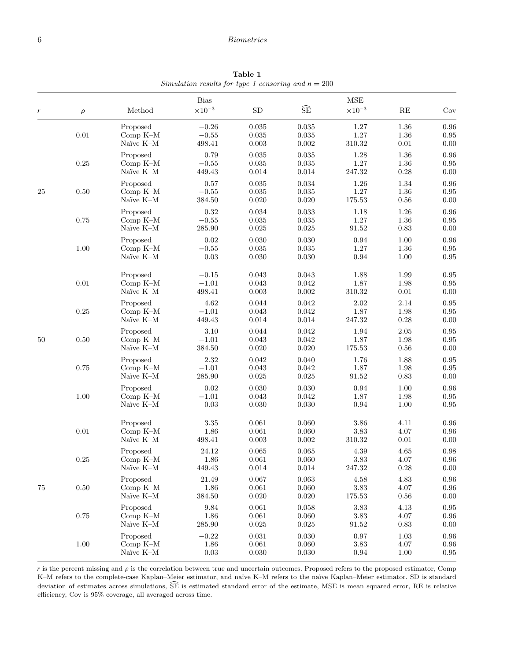## 6 Biometrics

Bias MSE *r ρ* Method  $\times 10^{-3}$  SD  $\tilde{\text{SE}}$   $\times 10^{-3}$  RE Cov Proposed −0*.*26 0.035 0.035 1.27 1.36 0.96 0.01 Comp K–M −0*.*55 0.035 0.035 1.27 1.36 0.95 Naïve K–M 498.41 0.003 0.002 310.32 0.01 0.00 Proposed 0.79 0.035 0.035 1.28 1.36 0.96 0.25 Comp K–M −0*.*55 0.035 0.035 1.27 1.36 0.95 Naïve K–M 449.43 0.014 0.014 247.32 0.28 0.00 Proposed 0.57 0.035 0.034 1.26 1.34 0.96 25 0.50 Comp K–M −0*.*55 0.035 0.035 1.27 1.36 0.95 Naïve K–M 384.50 0.020 0.020 175.53 0.56 0.00 Proposed 0.32 0.034 0.033 1.18 1.26 0.96 0.75 Comp K–M −0*.*55 0.035 0.035 1.27 1.36 0.95 Naïve K–M 285.90 0.025 0.025 91.52 0.83 0.00 Proposed 0.02 0.030 0.030 0.94 1.00 0.96 1.00 Comp K–M −0*.*55 0.035 0.035 1.27 1.36 0.95 Naïve K–M 0.03 0.030 0.030 0.94 1.00 0.95 Proposed −0*.*15 0.043 0.043 1.88 1.99 0.95 0.01 Comp K–M −1*.*01 0.043 0.042 1.87 1.98 0.95 Naïve K–M 498.41 0.003 0.002 310.32 0.01 0.00 Proposed 4.62 0.044 0.042 2.02 2.14 0.95 0.25 Comp K–M −1*.*01 0.043 0.042 1.87 1.98 0.95 Naïve K–M 449.43 0.014 0.014 247.32 0.28 0.00 Proposed 3.10 0.044 0.042 1.94 2.05 0.95 50 0.50 Comp K–M −1*.*01 0.043 0.042 1.87 1.98 0.95 Naïve K–M 384.50 0.020 0.020 175.53 0.56 0.00 Proposed 2.32 0.042 0.040 1.76 1.88 0.95 0.75 Comp K–M −1*.*01 0.043 0.042 1.87 1.98 0.95 Naïve K–M 285.90 0.025 0.025 91.52 0.83 0.00 Proposed 0.02 0.030 0.030 0.94 1.00 0.96 1.00 Comp K–M −1*.*01 0.043 0.042 1.87 1.98 0.95 Naïve K–M 0.03 0.030 0.030 0.94 1.00 0.95 Proposed 3.35 0.061 0.060 3.86 4.11 0.96 0.01 Comp K–M 1.86 0.061 0.060 3.83 4.07 0.96 Naïve K–M 498.41 0.003 0.002 310.32 0.01 0.00 Proposed 24.12 0.065 0.065 4.39 4.65 0.98 0.25 Comp K–M 1.86 0.061 0.060 3.83 4.07 0.96 Naïve K–M 449.43 0.014 0.014 247.32 0.28 0.00 Proposed 21.49 0.067 0.063 4.58 4.83 0.96 75 0.50 Comp K–M 1.86 0.061 0.060 3.83 4.07 0.96 Naïve K–M 384.50 0.020 0.020 175.53 0.56 0.00 Proposed 9.84 0.061 0.058 3.83 4.13 0.95 0.75 Comp K–M 1.86 0.061 0.060 3.83 4.07 0.96 Naïve K–M 285.90 0.025 0.025 91.52 0.83 0.00 Proposed −0*.*22 0.031 0.030 0.97 1.03 0.96 1.00 Comp K–M 1.86 0.061 0.060 3.83 4.07 0.96 Naïve K–M 0.03 0.030 0.030 0.94 1.00 0.95

**Table 1** Simulation results for type 1 censoring and  $n = 200$ 

*r* is the percent missing and  $\rho$  is the correlation between true and uncertain outcomes. Proposed refers to the proposed estimator, Comp K–M refers to the complete-case Kaplan–Meier estimator, and naïve K–M refers to the naïve Kaplan–Meier estimator. SD is standard deviation of estimates across simulations, SE is estimated standard error of the estimate, MSE is mean squared error, RE is relative efficiency, Cov is 95% coverage, all averaged across time.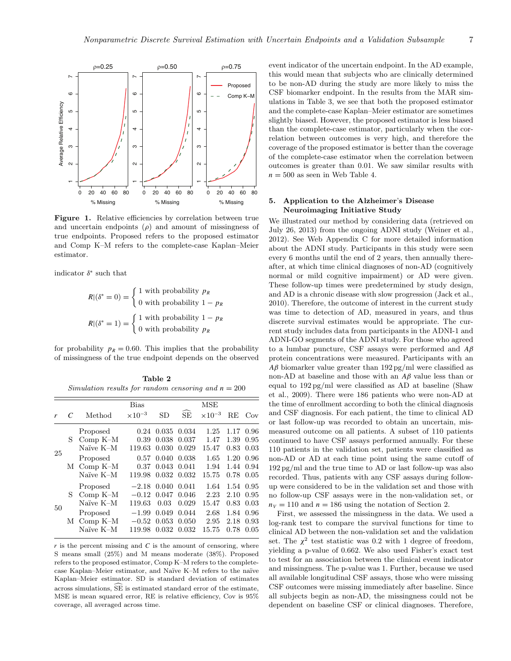

Figure 1. Relative efficiencies by correlation between true and uncertain endpoints  $(\rho)$  and amount of missingness of true endpoints. Proposed refers to the proposed estimator and Comp K–M refers to the complete-case Kaplan–Meier estimator.

indicator *δ*<sup>∗</sup> such that

$$
R|(δ^* = 0) = \begin{cases} 1 \text{ with probability } p_R \\ 0 \text{ with probability } 1 - p_R \end{cases}
$$

$$
R|(δ^* = 1) = \begin{cases} 1 \text{ with probability } 1 - p_R \\ 0 \text{ with probability } p_R \end{cases}
$$

for probability  $p_R = 0.60$ . This implies that the probability of missingness of the true endpoint depends on the observed

| Table 2 |  |  |  |  |                                                       |
|---------|--|--|--|--|-------------------------------------------------------|
|         |  |  |  |  | Simulation results for random censoring and $n = 200$ |

|              |            |            | <b>Bias</b>      |       |       | MSE              |      |      |
|--------------|------------|------------|------------------|-------|-------|------------------|------|------|
|              |            | Method     | $\times 10^{-3}$ | SD.   | SE    | $\times 10^{-3}$ | RE   | Cov  |
|              | Proposed   | 0.24       | 0.035            | 0.034 | 1.25  | 1.17             | 0.96 |      |
|              | S.         | Comp $K-M$ | 0.39             | 0.038 | 0.037 | 1.47             | 1.39 | 0.95 |
| 25           | Naïve K-M  | 119.63     | 0.030            | 0.029 | 15.47 | 0.83             | 0.03 |      |
|              | Proposed   | 0.57       | 0.040            | 0.038 | 1.65  | 1.20             | 0.96 |      |
|              |            | M Comp K-M | 0.37             | 0.043 | 0.041 | 1.94             | 1.44 | 0.94 |
|              | Naïve K-M  | 119.98     | 0.032            | 0.032 | 15.75 | 0.78             | 0.05 |      |
| S<br>50<br>М | Proposed   | $-2.18$    | 0.040            | 0.041 | 1.64  | 1.54             | 0.95 |      |
|              | Comp $K-M$ | $-0.12$    | 0.047            | 0.046 | 2.23  | 2.10             | 0.95 |      |
|              | Naïve K-M  | 119.63     | 0.03             | 0.029 | 15.47 | 0.83             | 0.03 |      |
|              | Proposed   | $-1.99$    | 0.049            | 0.044 | 2.68  | 1.84             | 0.96 |      |
|              | Comp $K-M$ | $-0.52$    | 0.053            | 0.050 | 2.95  | 2.18             | 0.93 |      |
|              | Naïve K-M  | 119.98     | 0.032            | 0.032 | 15.75 | 0.78             | 0.05 |      |

 $r$  is the percent missing and  $C$  is the amount of censoring, where S means small (25%) and M means moderate (38%). Proposed refers to the proposed estimator, Comp K–M refers to the completecase Kaplan–Meier estimator, and Naïve K–M refers to the naïve Kaplan–Meier estimator. SD is standard deviation of estimates across simulations,  $\widehat{SE}$  is estimated standard error of the estimate, MSE is mean squared error, RE is relative efficiency, Cov is 95% coverage, all averaged across time.

event indicator of the uncertain endpoint. In the AD example, this would mean that subjects who are clinically determined to be non-AD during the study are more likely to miss the CSF biomarker endpoint. In the results from the MAR simulations in Table 3, we see that both the proposed estimator and the complete-case Kaplan–Meier estimator are sometimes slightly biased. However, the proposed estimator is less biased than the complete-case estimator, particularly when the correlation between outcomes is very high, and therefore the coverage of the proposed estimator is better than the coverage of the complete-case estimator when the correlation between outcomes is greater than 0.01. We saw similar results with  $n = 500$  as seen in Web Table 4.

## **5. Application to the Alzheimer**'**s Disease Neuroimaging Initiative Study**

We illustrated our method by considering data (retrieved on July 26, 2013) from the ongoing ADNI study [\(Weiner et al.,](#page-9-0) [2012\).](#page-9-0) See Web Appendix C for more detailed information about the ADNI study. Participants in this study were seen every 6 months until the end of 2 years, then annually thereafter, at which time clinical diagnoses of non-AD (cognitively normal or mild cognitive impairment) or AD were given. These follow-up times were predetermined by study design, and AD is a chronic disease with slow progression [\(Jack et al.,](#page-9-0) [2010\).](#page-9-0) Therefore, the outcome of interest in the current study was time to detection of AD, measured in years, and thus discrete survival estimates would be appropriate. The current study includes data from participants in the ADNI-1 and ADNI-GO segments of the ADNI study. For those who agreed to a lumbar puncture, CSF assays were performed and *Aβ* protein concentrations were measured. Participants with an *Aβ* biomarker value greater than 192 pg/ml were classified as non-AD at baseline and those with an *Aβ* value less than or equal to 192 pg/ml were classified as AD at baseline [\(Shaw](#page-9-0) et al[., 2009\).](#page-9-0) There were 186 patients who were non-AD at the time of enrollment according to both the clinical diagnosis and CSF diagnosis. For each patient, the time to clinical AD or last follow-up was recorded to obtain an uncertain, mismeasured outcome on all patients. A subset of 110 patients continued to have CSF assays performed annually. For these 110 patients in the validation set, patients were classified as non-AD or AD at each time point using the same cutoff of 192 pg/ml and the true time to AD or last follow-up was also recorded. Thus, patients with any CSF assays during followup were considered to be in the validation set and those with no follow-up CSF assays were in the non-validation set, or  $n_V = 110$  and  $n = 186$  using the notation of Section 2.

First, we assessed the missingness in the data. We used a log-rank test to compare the survival functions for time to clinical AD between the non-validation set and the validation set. The  $\chi^2$  test statistic was 0.2 with 1 degree of freedom, yielding a p-value of 0.662. We also used Fisher's exact test to test for an association between the clinical event indicator and missingness. The p-value was 1. Further, because we used all available longitudinal CSF assays, those who were missing CSF outcomes were missing immediately after baseline. Since all subjects begin as non-AD, the missingness could not be dependent on baseline CSF or clinical diagnoses. Therefore,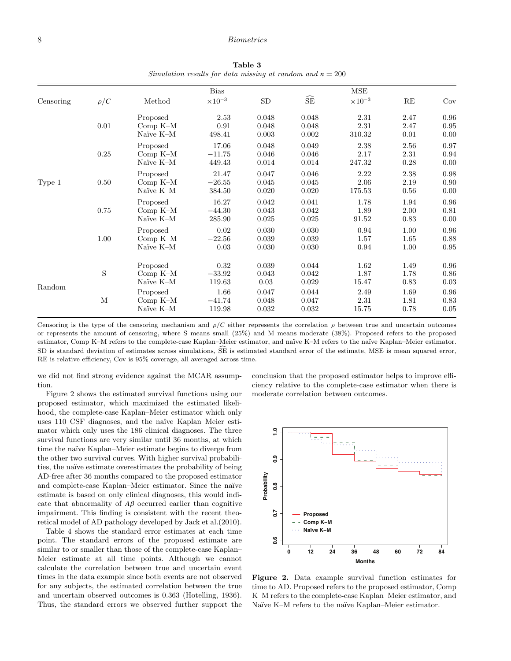## 8 Biometrics

**Table 3** Simulation results for data missing at random and  $n = 200$ 

| Censoring                              | $\rho/C$ | Method                              | <b>Bias</b><br>$\times 10^{-3}$ | SD                      | $\widehat{\text{SE}}$   | $\operatorname{MSE}$<br>$\times 10^{-3}$ | RE                   | Cov                  |
|----------------------------------------|----------|-------------------------------------|---------------------------------|-------------------------|-------------------------|------------------------------------------|----------------------|----------------------|
|                                        | 0.01     | Proposed<br>Comp $K-M$<br>Naïve K-M | 2.53<br>0.91<br>498.41          | 0.048<br>0.048<br>0.003 | 0.048<br>0.048<br>0.002 | 2.31<br>2.31<br>310.32                   | 2.47<br>2.47<br>0.01 | 0.96<br>0.95<br>0.00 |
| 0.25<br>0.50<br>Type 1<br>0.75<br>1.00 |          | Proposed<br>Comp $K-M$<br>Naïve K-M | 17.06<br>$-11.75$<br>449.43     | 0.048<br>0.046<br>0.014 | 0.049<br>0.046<br>0.014 | 2.38<br>2.17<br>247.32                   | 2.56<br>2.31<br>0.28 | 0.97<br>0.94<br>0.00 |
|                                        |          | Proposed<br>Comp $K-M$<br>Naïve K-M | 21.47<br>$-26.55$<br>384.50     | 0.047<br>0.045<br>0.020 | 0.046<br>0.045<br>0.020 | 2.22<br>2.06<br>175.53                   | 2.38<br>2.19<br>0.56 | 0.98<br>0.90<br>0.00 |
|                                        |          | Proposed<br>Comp $K-M$<br>Naïve K-M | 16.27<br>$-44.30$<br>285.90     | 0.042<br>0.043<br>0.025 | 0.041<br>0.042<br>0.025 | 1.78<br>1.89<br>91.52                    | 1.94<br>2.00<br>0.83 | 0.96<br>0.81<br>0.00 |
|                                        |          | Proposed<br>$Comp K-M$<br>Naïve K-M | 0.02<br>$-22.56$<br>0.03        | 0.030<br>0.039<br>0.030 | 0.030<br>0.039<br>0.030 | 0.94<br>1.57<br>0.94                     | 1.00<br>1.65<br>1.00 | 0.96<br>0.88<br>0.95 |
| Random                                 | S        | Proposed<br>Comp $K-M$<br>Naïve K-M | 0.32<br>$-33.92$<br>119.63      | 0.039<br>0.043<br>0.03  | 0.044<br>0.042<br>0.029 | 1.62<br>1.87<br>15.47                    | 1.49<br>1.78<br>0.83 | 0.96<br>0.86<br>0.03 |
|                                        | M        | Proposed<br>Comp $K-M$<br>Naïve K-M | 1.66<br>$-41.74$<br>119.98      | 0.047<br>0.048<br>0.032 | 0.044<br>0.047<br>0.032 | 2.49<br>2.31<br>15.75                    | 1.69<br>1.81<br>0.78 | 0.96<br>0.83<br>0.05 |

Censoring is the type of the censoring mechanism and  $\rho/C$  either represents the correlation  $\rho$  between true and uncertain outcomes or represents the amount of censoring, where S means small (25%) and M means moderate (38%). Proposed refers to the proposed estimator, Comp K–M refers to the complete-case Kaplan–Meier estimator, and naïve K–M refers to the naïve Kaplan–Meier estimator. SD is standard deviation of estimates across simulations, SE is estimated standard error of the estimate, MSE is mean squared error, RE is relative efficiency, Cov is 95% coverage, all averaged across time.

we did not find strong evidence against the MCAR assumption.

Figure 2 shows the estimated survival functions using our proposed estimator, which maximized the estimated likelihood, the complete-case Kaplan–Meier estimator which only uses 110 CSF diagnoses, and the naïve Kaplan–Meier estimator which only uses the 186 clinical diagnoses. The three survival functions are very similar until 36 months, at which time the naïve Kaplan–Meier estimate begins to diverge from the other two survival curves. With higher survival probabilities, the na¨ıve estimate overestimates the probability of being AD-free after 36 months compared to the proposed estimator and complete-case Kaplan–Meier estimator. Since the naïve estimate is based on only clinical diagnoses, this would indicate that abnormality of  $A\beta$  occurred earlier than cognitive impairment. This finding is consistent with the recent theoretical model of AD pathology developed by Jack et al.[\(2010\).](#page-9-0)

Table 4 shows the standard error estimates at each time point. The standard errors of the proposed estimate are similar to or smaller than those of the complete-case Kaplan– Meier estimate at all time points. Although we cannot calculate the correlation between true and uncertain event times in the data example since both events are not observed for any subjects, the estimated correlation between the true and uncertain observed outcomes is 0.363 [\(Hotelling, 1936\).](#page-9-0) Thus, the standard errors we observed further support the conclusion that the proposed estimator helps to improve efficiency relative to the complete-case estimator when there is moderate correlation between outcomes.



**Figure 2.** Data example survival function estimates for time to AD. Proposed refers to the proposed estimator, Comp K–M refers to the complete-case Kaplan–Meier estimator, and Naïve K–M refers to the naïve Kaplan–Meier estimator.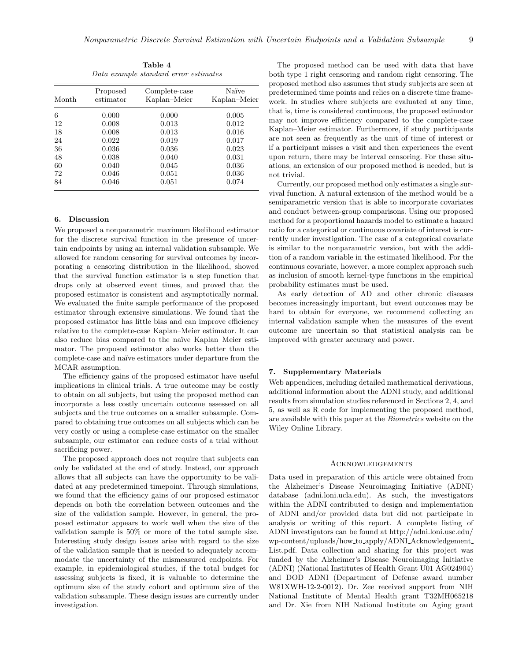| Table 4                               |  |  |  |  |  |
|---------------------------------------|--|--|--|--|--|
| Data example standard error estimates |  |  |  |  |  |
|                                       |  |  |  |  |  |

| Month | Proposed<br>estimator | Complete-case<br>Kaplan-Meier | Naïve<br>Kaplan–Meier |
|-------|-----------------------|-------------------------------|-----------------------|
| 6     | 0.000                 | 0.000                         | 0.005                 |
| 12    | 0.008                 | 0.013                         | 0.012                 |
| 18    | 0.008                 | 0.013                         | 0.016                 |
| 24    | 0.022                 | 0.019                         | 0.017                 |
| 36    | 0.036                 | 0.036                         | 0.023                 |
| 48    | 0.038                 | 0.040                         | 0.031                 |
| 60    | 0.040                 | 0.045                         | 0.036                 |
| 72    | 0.046                 | 0.051                         | 0.036                 |
| 84    | 0.046                 | 0.051                         | 0.074                 |

## **6. Discussion**

We proposed a nonparametric maximum likelihood estimator for the discrete survival function in the presence of uncertain endpoints by using an internal validation subsample. We allowed for random censoring for survival outcomes by incorporating a censoring distribution in the likelihood, showed that the survival function estimator is a step function that drops only at observed event times, and proved that the proposed estimator is consistent and asymptotically normal. We evaluated the finite sample performance of the proposed estimator through extensive simulations. We found that the proposed estimator has little bias and can improve efficiency relative to the complete-case Kaplan–Meier estimator. It can also reduce bias compared to the naïve Kaplan–Meier estimator. The proposed estimator also works better than the complete-case and naïve estimators under departure from the MCAR assumption.

The efficiency gains of the proposed estimator have useful implications in clinical trials. A true outcome may be costly to obtain on all subjects, but using the proposed method can incorporate a less costly uncertain outcome assessed on all subjects and the true outcomes on a smaller subsample. Compared to obtaining true outcomes on all subjects which can be very costly or using a complete-case estimator on the smaller subsample, our estimator can reduce costs of a trial without sacrificing power.

The proposed approach does not require that subjects can only be validated at the end of study. Instead, our approach allows that all subjects can have the opportunity to be validated at any predetermined timepoint. Through simulations, we found that the efficiency gains of our proposed estimator depends on both the correlation between outcomes and the size of the validation sample. However, in general, the proposed estimator appears to work well when the size of the validation sample is 50% or more of the total sample size. Interesting study design issues arise with regard to the size of the validation sample that is needed to adequately accommodate the uncertainty of the mismeasured endpoints. For example, in epidemiological studies, if the total budget for assessing subjects is fixed, it is valuable to determine the optimum size of the study cohort and optimum size of the validation subsample. These design issues are currently under investigation.

The proposed method can be used with data that have both type 1 right censoring and random right censoring. The proposed method also assumes that study subjects are seen at predetermined time points and relies on a discrete time framework. In studies where subjects are evaluated at any time, that is, time is considered continuous, the proposed estimator may not improve efficiency compared to the complete-case Kaplan–Meier estimator. Furthermore, if study participants are not seen as frequently as the unit of time of interest or if a participant misses a visit and then experiences the event upon return, there may be interval censoring. For these situations, an extension of our proposed method is needed, but is not trivial.

Currently, our proposed method only estimates a single survival function. A natural extension of the method would be a semiparametric version that is able to incorporate covariates and conduct between-group comparisons. Using our proposed method for a proportional hazards model to estimate a hazard ratio for a categorical or continuous covariate of interest is currently under investigation. The case of a categorical covariate is similar to the nonparametric version, but with the addition of a random variable in the estimated likelihood. For the continuous covariate, however, a more complex approach such as inclusion of smooth kernel-type functions in the empirical probability estimates must be used.

As early detection of AD and other chronic diseases becomes increasingly important, but event outcomes may be hard to obtain for everyone, we recommend collecting an internal validation sample when the measures of the event outcome are uncertain so that statistical analysis can be improved with greater accuracy and power.

## **7. Supplementary Materials**

Web appendices, including detailed mathematical derivations, additional information about the ADNI study, and additional results from simulation studies referenced in Sections 2, 4, and 5, as well as R code for implementing the proposed method, are available with this paper at the Biometrics website on the Wiley Online Library.

#### Acknowledgements

Data used in preparation of this article were obtained from the Alzheimer's Disease Neuroimaging Initiative (ADNI) database (adni.loni.ucla.edu). As such, the investigators within the ADNI contributed to design and implementation of ADNI and/or provided data but did not participate in analysis or writing of this report. A complete listing of ADNI investigators can be found at http://adni.loni.usc.edu/ wp-content/uploads/how to apply/ADNI Acknowledgement List.pdf. Data collection and sharing for this project was funded by the Alzheimer's Disease Neuroimaging Initiative (ADNI) (National Institutes of Health Grant U01 AG024904) and DOD ADNI (Department of Defense award number W81XWH-12-2-0012). Dr. Zee received support from NIH National Institute of Mental Health grant T32MH065218 and Dr. Xie from NIH National Institute on Aging grant